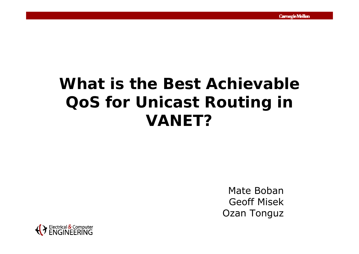## **What is the Best Achievable QoS for Unicast Routing in VANET?**

Mate Boban Geoff Misek Ozan Tonguz

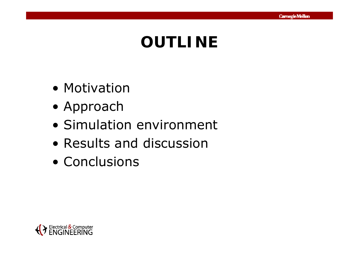## **OUTLINE**

- Motivation
- Approach
- Simulation environment
- Results and discussion
- Conclusions

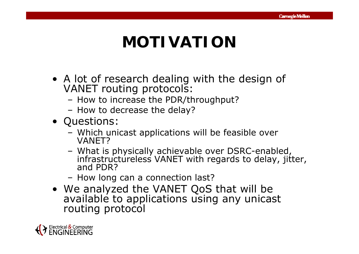## **MOTIVATION**

- A lot of research dealing with the design of VANET routing protocols:
	- How to increase the PDR/throughput?
	- How to decrease the delay?
- Questions:
	- Which unicast applications will be feasible over VANET?
	- What is p h ysicall y achievable over DSRC-enabled, What is physically<br>infrastructureless infrastructureless VANET with regards to delay, jitter,<br>and PDR?
	- How long can a connection last?
- We analyzed the VANET QoS that will be available to applications using *any* unicast ng protocol

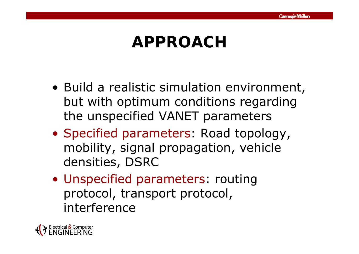## **APPROACH**

- Build a realistic simulation environment, but with optimum conditions regarding the unspecified VANET parameters
- Specified parameters: Road topology, mobility, signal propagation, vehicle densities, DSRC
- Unspecified parameters: routing protocol, transport protocol, interference

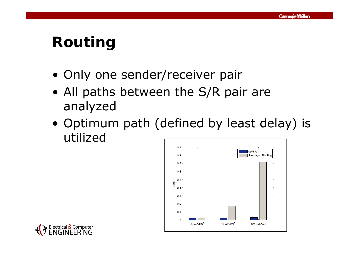### **Routing**

- Only one sender/receiver pair
- $\bullet$  All paths between the S/R pair are analyzed
- Optimum path (defined by least delay) is utilized



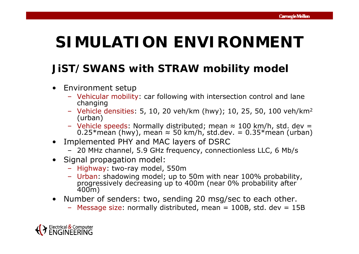## **SIMULATION ENVIRONMENT**

#### **JiST/SWANS with STRAW mobility model**

- Environment setup
	- Vehicular mobility: car following with intersection control and lane changing
	- Vehicle densities: 5, 10, 20 veh/km (hwy); 10, 25, 50, 100 veh/km 2 (urban)
	- $-$  Vehicle speeds: Normally distributed; mean  $\approx$  100 km/h, std. dev = 0.25\*mean (hwy), mean <sup>≈</sup> 50 km/h, std.dev. = 0.35\*mean (urban)
- Implemented PHY and MAC layers of DSRC
	- 20 MHz channel, 5.9 GHz frequency, connectionless LLC, 6 Mb/s
- Signal propagation model:
	- Highway: two-ray model, 550m
	- Urban: shadowing model; up to 50m with near 100% probability, progressively decreasing up to 400m (near 0% probability after 400m)
- Number of senders: two, sending 20 msg/sec to each other.
	- Message size: normally distributed, mean = 100B, std. dev = 15B

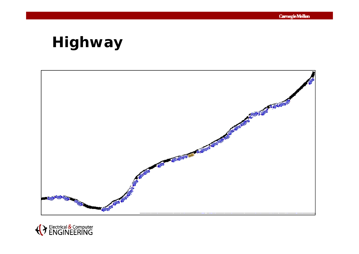### **Highway**



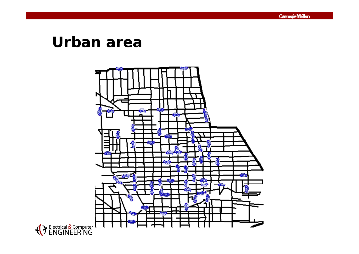### **Urban area**



**Carnegie Mellon**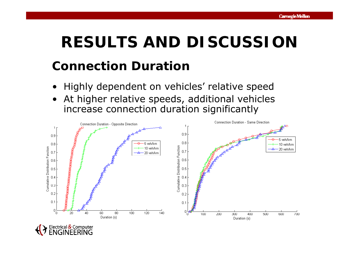# **RESULTS AND DISCUSSIONConnection Duration**

- Highly dependent on vehicles' relative speed
- •At higher relative speeds, additional vehicles increase connection duration significantly



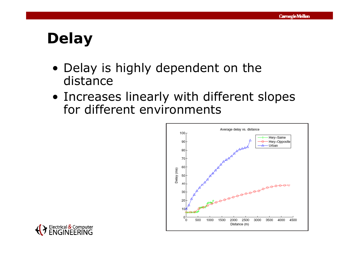## **Delay**

- Delay is highly dependent on the distance
- Increases linearly with different slopes for different environments



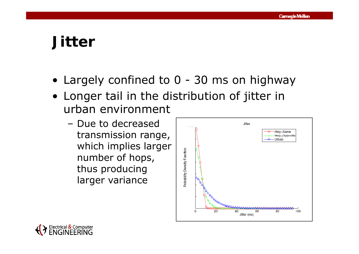### **Jitter**

- Largely confined to 0 30 *ms* on highway
- Longer tail in the distribution of jitter in urban environment
	- Due to decreased transmission range, which implies larger number of hops, thus producing larger variance



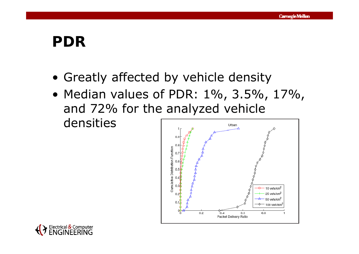### **PDR**

- Greatly affected by vehicle density
- Median values of PDR: 1%, 3.5%, 17%, and 72% for the analyzed vehicle densitiesUrban



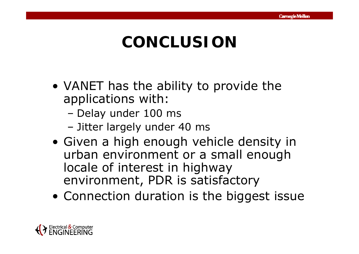## **CONCLUSION**

- VANET has the ability to provide the applications with:
	- –Delay under 100 *ms*
	- –Jitter largely under 40 *ms*
- Given a high enough vehicle density in urban environment or a small enough locale of interest in highway environment, PDR is satisfactory
- Connection duration is the biggest issue

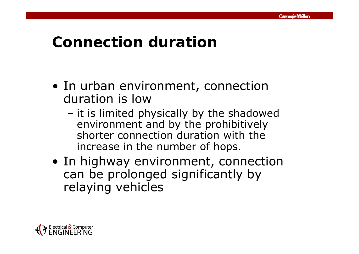### **Connection duration**

- In urban environment, connection duration is low
	- – it is limited physically by the shadowed environment and by the prohibitively shorter connection duration with the increase in the number of hops.
- In highway environment, connection can be prolonged significantly by relaying vehicles

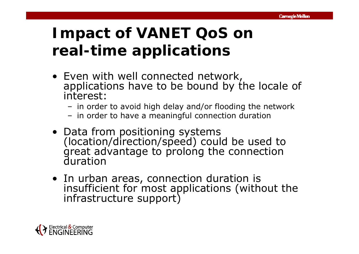## **Impact of VANET QoS on real-time applications**

- Even with well connected network, applications have to be bound by the locale of interest:
	- in order to avoid high delay and/or flooding the network
	- in order to have a meaningful connection duration
- Data from positioning systems  $(location/direction/speed)$  could be used to great advantage to prolong the connection<br>duration
- In urban areas, connection duration is insufficient for most applications (without the infrastructure support)